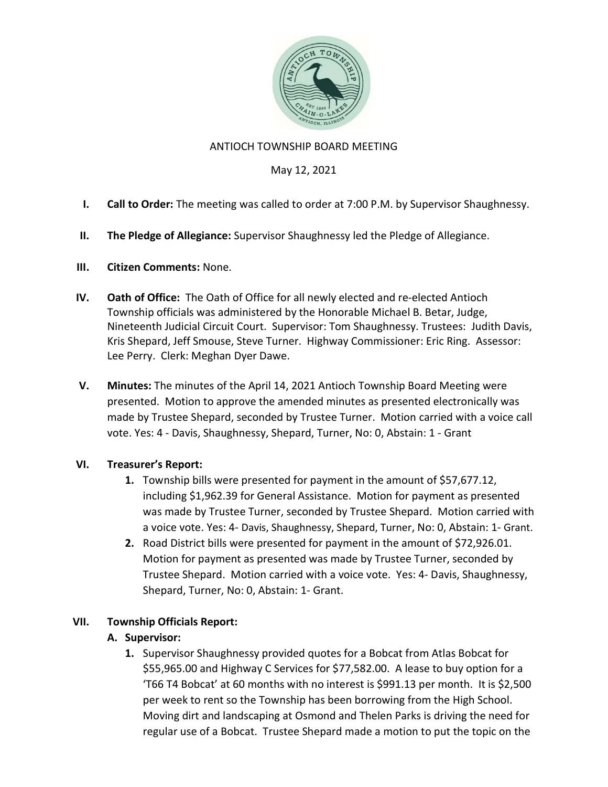

## ANTIOCH TOWNSHIP BOARD MEETING

## May 12, 2021

- I. Call to Order: The meeting was called to order at 7:00 P.M. by Supervisor Shaughnessy.
- II. The Pledge of Allegiance: Supervisor Shaughnessy led the Pledge of Allegiance.

### III. Citizen Comments: None.

- IV. Oath of Office: The Oath of Office for all newly elected and re-elected Antioch Township officials was administered by the Honorable Michael B. Betar, Judge, Nineteenth Judicial Circuit Court. Supervisor: Tom Shaughnessy. Trustees: Judith Davis, Kris Shepard, Jeff Smouse, Steve Turner. Highway Commissioner: Eric Ring. Assessor: Lee Perry. Clerk: Meghan Dyer Dawe.
- V. Minutes: The minutes of the April 14, 2021 Antioch Township Board Meeting were presented. Motion to approve the amended minutes as presented electronically was made by Trustee Shepard, seconded by Trustee Turner. Motion carried with a voice call vote. Yes: 4 - Davis, Shaughnessy, Shepard, Turner, No: 0, Abstain: 1 - Grant

### VI. Treasurer's Report:

- 1. Township bills were presented for payment in the amount of \$57,677.12, including \$1,962.39 for General Assistance. Motion for payment as presented was made by Trustee Turner, seconded by Trustee Shepard. Motion carried with a voice vote. Yes: 4- Davis, Shaughnessy, Shepard, Turner, No: 0, Abstain: 1- Grant.
- 2. Road District bills were presented for payment in the amount of \$72,926.01. Motion for payment as presented was made by Trustee Turner, seconded by Trustee Shepard. Motion carried with a voice vote. Yes: 4- Davis, Shaughnessy, Shepard, Turner, No: 0, Abstain: 1- Grant.

# VII. Township Officials Report:

# A. Supervisor:

1. Supervisor Shaughnessy provided quotes for a Bobcat from Atlas Bobcat for \$55,965.00 and Highway C Services for \$77,582.00. A lease to buy option for a 'T66 T4 Bobcat' at 60 months with no interest is \$991.13 per month. It is \$2,500 per week to rent so the Township has been borrowing from the High School. Moving dirt and landscaping at Osmond and Thelen Parks is driving the need for regular use of a Bobcat. Trustee Shepard made a motion to put the topic on the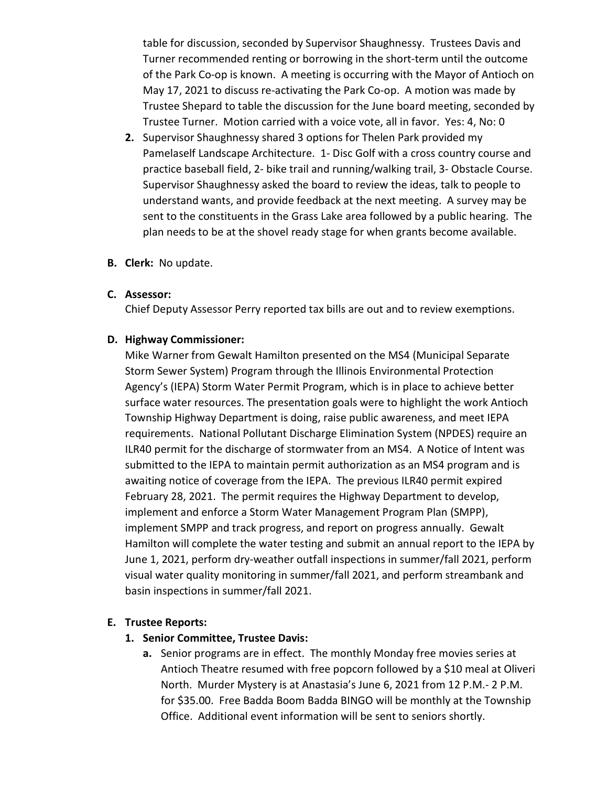table for discussion, seconded by Supervisor Shaughnessy. Trustees Davis and Turner recommended renting or borrowing in the short-term until the outcome of the Park Co-op is known. A meeting is occurring with the Mayor of Antioch on May 17, 2021 to discuss re-activating the Park Co-op. A motion was made by Trustee Shepard to table the discussion for the June board meeting, seconded by Trustee Turner. Motion carried with a voice vote, all in favor. Yes: 4, No: 0

- 2. Supervisor Shaughnessy shared 3 options for Thelen Park provided my Pamelaself Landscape Architecture. 1- Disc Golf with a cross country course and practice baseball field, 2- bike trail and running/walking trail, 3- Obstacle Course. Supervisor Shaughnessy asked the board to review the ideas, talk to people to understand wants, and provide feedback at the next meeting. A survey may be sent to the constituents in the Grass Lake area followed by a public hearing. The plan needs to be at the shovel ready stage for when grants become available.
- B. Clerk: No update.

#### C. Assessor:

Chief Deputy Assessor Perry reported tax bills are out and to review exemptions.

#### D. Highway Commissioner:

Mike Warner from Gewalt Hamilton presented on the MS4 (Municipal Separate Storm Sewer System) Program through the Illinois Environmental Protection Agency's (IEPA) Storm Water Permit Program, which is in place to achieve better surface water resources. The presentation goals were to highlight the work Antioch Township Highway Department is doing, raise public awareness, and meet IEPA requirements. National Pollutant Discharge Elimination System (NPDES) require an ILR40 permit for the discharge of stormwater from an MS4. A Notice of Intent was submitted to the IEPA to maintain permit authorization as an MS4 program and is awaiting notice of coverage from the IEPA. The previous ILR40 permit expired February 28, 2021. The permit requires the Highway Department to develop, implement and enforce a Storm Water Management Program Plan (SMPP), implement SMPP and track progress, and report on progress annually. Gewalt Hamilton will complete the water testing and submit an annual report to the IEPA by June 1, 2021, perform dry-weather outfall inspections in summer/fall 2021, perform visual water quality monitoring in summer/fall 2021, and perform streambank and basin inspections in summer/fall 2021.

#### E. Trustee Reports:

#### 1. Senior Committee, Trustee Davis:

a. Senior programs are in effect. The monthly Monday free movies series at Antioch Theatre resumed with free popcorn followed by a \$10 meal at Oliveri North. Murder Mystery is at Anastasia's June 6, 2021 from 12 P.M.- 2 P.M. for \$35.00. Free Badda Boom Badda BINGO will be monthly at the Township Office. Additional event information will be sent to seniors shortly.